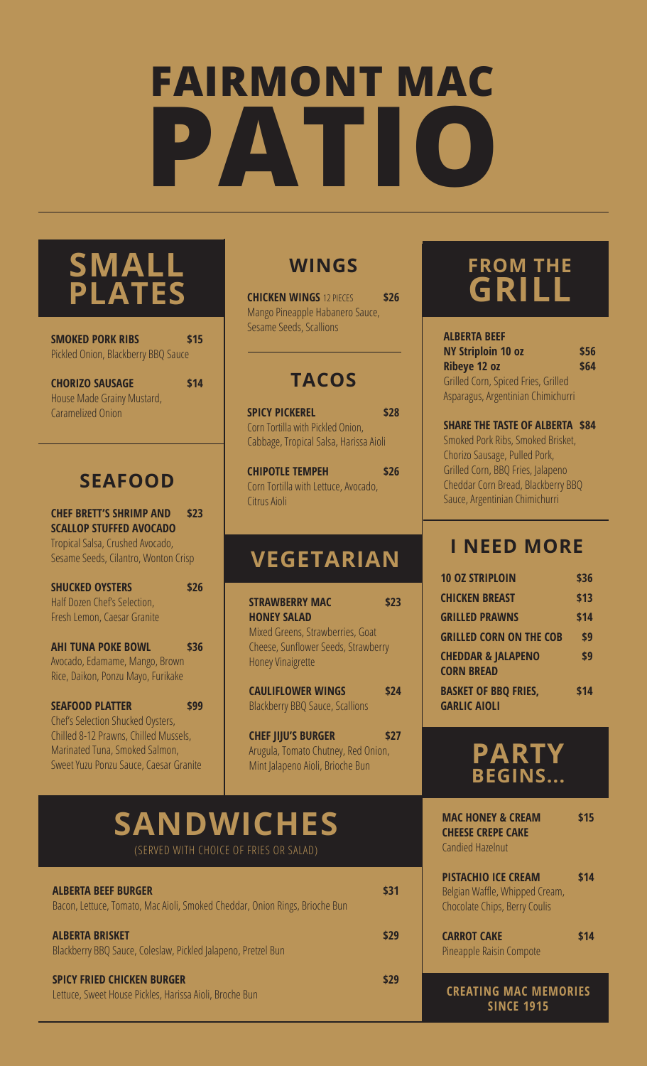# **FAIRMONT MAC PATIO**

### **SMALL PLATES**

| <b>SMOKED PORK RIBS</b><br>Pickled Onion, Blackberry BBQ Sauce                                                                               | \$15 |
|----------------------------------------------------------------------------------------------------------------------------------------------|------|
| <b>CHORIZO SAUSAGE</b><br>House Made Grainy Mustard,<br>Caramelized Onion                                                                    | \$14 |
| <b>SEAFOOD</b>                                                                                                                               |      |
| <b>CHEF BRETT'S SHRIMP AND</b><br><b>SCALLOP STUFFED AVOCADO</b><br>Tropical Salsa, Crushed Avocado,<br>Sesame Seeds, Cilantro, Wonton Crisp | \$23 |
| <b>SHUCKED OYSTERS</b><br>Half Dozen Chef's Selection,<br>Fresh Lemon, Caesar Granite                                                        | \$26 |
| <b>AHI TUNA POKE BOWL</b><br>Avocado, Edamame, Mango, Brown<br>Rice, Daikon, Ponzu Mayo, Furikake                                            | \$36 |
| <b>SEAFOOD PLATTER</b>                                                                                                                       | \$99 |

Chef's Selection Shucked Oysters, Chilled 8-12 Prawns, Chilled Mussels, Marinated Tuna, Smoked Salmon, Sweet Yuzu Ponzu Sauce, Caesar Granite

### **WINGS**

**CHICKEN WINGS** 12 PIECES **\$26** Mango Pineapple Habanero Sauce, Sesame Seeds, Scallions

### **TACOS**

**SPICY PICKEREL \$28** Corn Tortilla with Pickled Onion, Cabbage, Tropical Salsa, Harissa Aioli

**CHIPOTLE TEMPEH \$26** Corn Tortilla with Lettuce, Avocado, Citrus Aioli

### **VEGETARIAN**

| <b>STRAWBERRY MAC</b>                                                                                                     | \$23 |
|---------------------------------------------------------------------------------------------------------------------------|------|
| <b>HONEY SALAD</b><br>Mixed Greens, Strawberries, Goat<br>Cheese, Sunflower Seeds, Strawberry<br><b>Honey Vinaigrette</b> |      |
| <b>CAULIFLOWER WINGS</b><br><b>Blackberry BBQ Sauce, Scallions</b>                                                        | \$24 |

**CHEF JIJU'S BURGER \$27** Arugula, Tomato Chutney, Red Onion, Mint Jalapeno Aioli, Brioche Bun

### **SANDWICHES** (SERVED WITH CHOICE OF FRIES OR SALAD)

| <b>ALBERTA BEEF BURGER</b><br>Bacon, Lettuce, Tomato, Mac Aioli, Smoked Cheddar, Onion Rings, Brioche Bun | \$31 |
|-----------------------------------------------------------------------------------------------------------|------|
| <b>ALBERTA BRISKET</b><br>Blackberry BBQ Sauce, Coleslaw, Pickled Jalapeno, Pretzel Bun                   | \$29 |
| <b>SPICY FRIED CHICKEN BURGER</b><br>Lettuce, Sweet House Pickles, Harissa Aioli, Broche Bun              | \$29 |

### **FROM THE GRILL**

**ALBERTA BEEF NY Striploin 10 oz \$56 Ribeye 12 oz \$64** Grilled Corn, Spiced Fries, Grilled Asparagus, Argentinian Chimichurri

**SHARE THE TASTE OF ALBERTA \$84** Smoked Pork Ribs, Smoked Brisket, Chorizo Sausage, Pulled Pork, Grilled Corn, BBQ Fries, Jalapeno Cheddar Corn Bread, Blackberry BBQ Sauce, Argentinian Chimichurri

#### **I NEED MORE**

| <b>10 OZ STRIPLOIN</b>                             | \$36 |
|----------------------------------------------------|------|
| <b>CHICKEN BREAST</b>                              | \$13 |
| <b>GRILLED PRAWNS</b>                              | \$14 |
| <b>GRILLED CORN ON THE COB</b>                     | \$9  |
| <b>CHEDDAR &amp; JALAPENO</b><br><b>CORN BREAD</b> | \$9  |
| <b>BASKET OF BBQ FRIES,</b><br><b>GARLIC AIOLI</b> | \$14 |



| <b>MAC HONEY &amp; CREAM</b><br><b>CHEESE CREPE CAKE</b> | \$15 |
|----------------------------------------------------------|------|
| <b>Candied Hazelnut</b>                                  |      |

| PISTACHIO ICE CREAM                  | \$14 |
|--------------------------------------|------|
| Belgian Waffle, Whipped Cream,       |      |
| <b>Chocolate Chips, Berry Coulis</b> |      |
|                                      |      |

| <b>CARROT CAKE</b>       | \$14 |
|--------------------------|------|
| Pineapple Raisin Compote |      |

**CREATING MAC MEMORIES SINCE 1915**